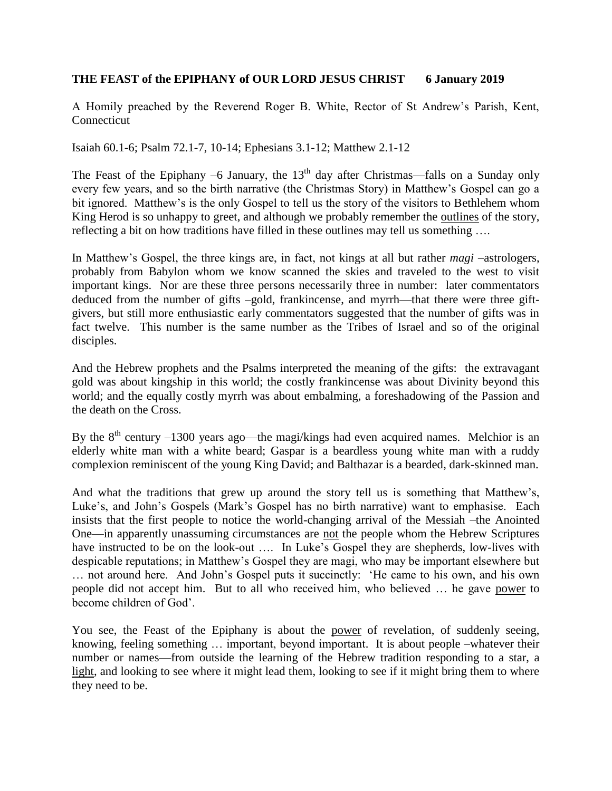## **THE FEAST of the EPIPHANY of OUR LORD JESUS CHRIST 6 January 2019**

A Homily preached by the Reverend Roger B. White, Rector of St Andrew's Parish, Kent, Connecticut

Isaiah 60.1-6; Psalm 72.1-7, 10-14; Ephesians 3.1-12; Matthew 2.1-12

The Feast of the Epiphany –6 January, the  $13<sup>th</sup>$  day after Christmas—falls on a Sunday only every few years, and so the birth narrative (the Christmas Story) in Matthew's Gospel can go a bit ignored. Matthew's is the only Gospel to tell us the story of the visitors to Bethlehem whom King Herod is so unhappy to greet, and although we probably remember the outlines of the story, reflecting a bit on how traditions have filled in these outlines may tell us something ….

In Matthew's Gospel, the three kings are, in fact, not kings at all but rather *magi* –astrologers, probably from Babylon whom we know scanned the skies and traveled to the west to visit important kings. Nor are these three persons necessarily three in number: later commentators deduced from the number of gifts –gold, frankincense, and myrrh—that there were three giftgivers, but still more enthusiastic early commentators suggested that the number of gifts was in fact twelve. This number is the same number as the Tribes of Israel and so of the original disciples.

And the Hebrew prophets and the Psalms interpreted the meaning of the gifts: the extravagant gold was about kingship in this world; the costly frankincense was about Divinity beyond this world; and the equally costly myrrh was about embalming, a foreshadowing of the Passion and the death on the Cross.

By the  $8<sup>th</sup>$  century –1300 years ago—the magi/kings had even acquired names. Melchior is an elderly white man with a white beard; Gaspar is a beardless young white man with a ruddy complexion reminiscent of the young King David; and Balthazar is a bearded, dark-skinned man.

And what the traditions that grew up around the story tell us is something that Matthew's, Luke's, and John's Gospels (Mark's Gospel has no birth narrative) want to emphasise. Each insists that the first people to notice the world-changing arrival of the Messiah –the Anointed One—in apparently unassuming circumstances are not the people whom the Hebrew Scriptures have instructed to be on the look-out .... In Luke's Gospel they are shepherds, low-lives with despicable reputations; in Matthew's Gospel they are magi, who may be important elsewhere but … not around here. And John's Gospel puts it succinctly: 'He came to his own, and his own people did not accept him. But to all who received him, who believed … he gave power to become children of God'.

You see, the Feast of the Epiphany is about the power of revelation, of suddenly seeing, knowing, feeling something … important, beyond important. It is about people –whatever their number or names—from outside the learning of the Hebrew tradition responding to a star, a light, and looking to see where it might lead them, looking to see if it might bring them to where they need to be.